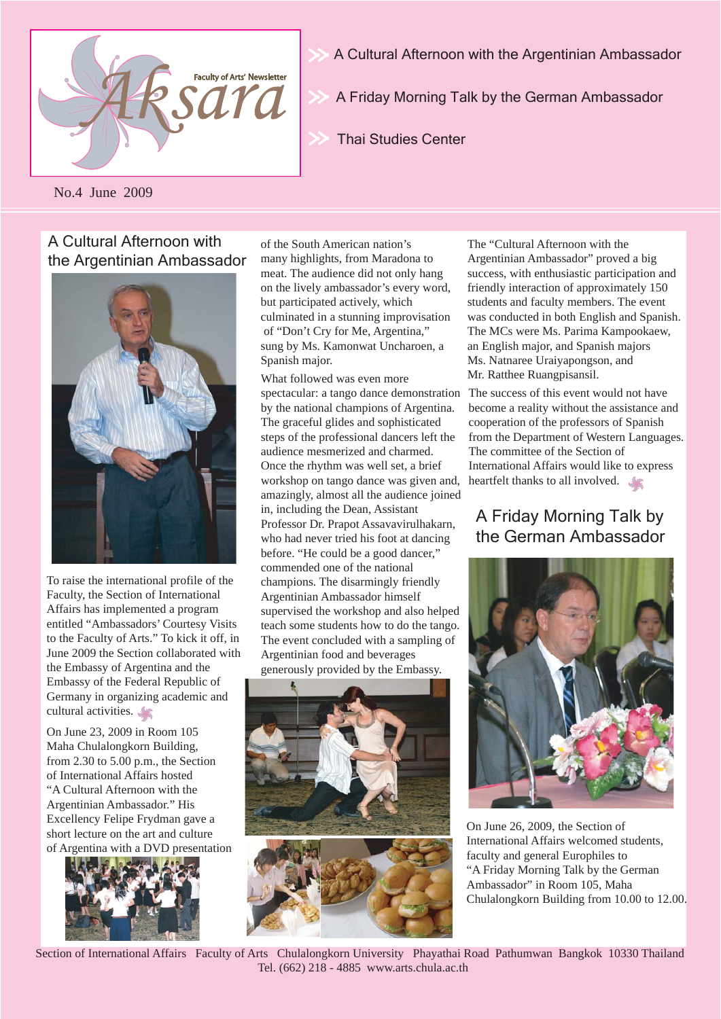

A Cultural Afternoon with the Argentinian Ambassador

A Friday Morning Talk by the German Ambassador

Thai Studies Center

No.4 June 2009

### A Cultural Afternoon with the Argentinian Ambassador



To raise the international profile of the Faculty, the Section of International Affairs has implemented a program entitled "Ambassadors' Courtesy Visits to the Faculty of Arts." To kick it off, in June 2009 the Section collaborated with the Embassy of Argentina and the Embassy of the Federal Republic of Germany in organizing academic and cultural activities.

On June 23, 2009 in Room 105 Maha Chulalongkorn Building, from 2.30 to 5.00 p.m., the Section of International Affairs hosted "A Cultural Afternoon with the Argentinian Ambassador." His Excellency Felipe Frydman gave a short lecture on the art and culture of Argentina with a DVD presentation



of the South American nation's many highlights, from Maradona to meat. The audience did not only hang on the lively ambassador's every word, but participated actively, which culminated in a stunning improvisation of "Don't Cry for Me, Argentina," sung by Ms. Kamonwat Uncharoen, a Spanish major.

What followed was even more spectacular: a tango dance demonstration by the national champions of Argentina. The graceful glides and sophisticated steps of the professional dancers left the audience mesmerized and charmed. Once the rhythm was well set, a brief workshop on tango dance was given and, amazingly, almost all the audience joined in, including the Dean, Assistant Professor Dr. Prapot Assavavirulhakarn, who had never tried his foot at dancing before. "He could be a good dancer," commended one of the national champions. The disarmingly friendly Argentinian Ambassador himself supervised the workshop and also helped teach some students how to do the tango. The event concluded with a sampling of Argentinian food and beverages generously provided by the Embassy.



The "Cultural Afternoon with the Argentinian Ambassador" proved a big success, with enthusiastic participation and friendly interaction of approximately 150 students and faculty members. The event was conducted in both English and Spanish. The MCs were Ms. Parima Kampookaew, an English major, and Spanish majors Ms. Natnaree Uraiyapongson, and Mr. Ratthee Ruangpisansil.

The success of this event would not have become a reality without the assistance and cooperation of the professors of Spanish from the Department of Western Languages. The committee of the Section of International Affairs would like to express heartfelt thanks to all involved.

# A Friday Morning Talk by the German Ambassador



On June 26, 2009, the Section of International Affairs welcomed students, faculty and general Europhiles to "A Friday Morning Talk by the German Ambassador" in Room 105, Maha Chulalongkorn Building from 10.00 to 12.00.

Section of International Affairs Faculty of Arts Chulalongkorn University Phayathai Road Pathumwan Bangkok 10330 Thailand Tel. (662) 218 - 4885 www.arts.chula.ac.th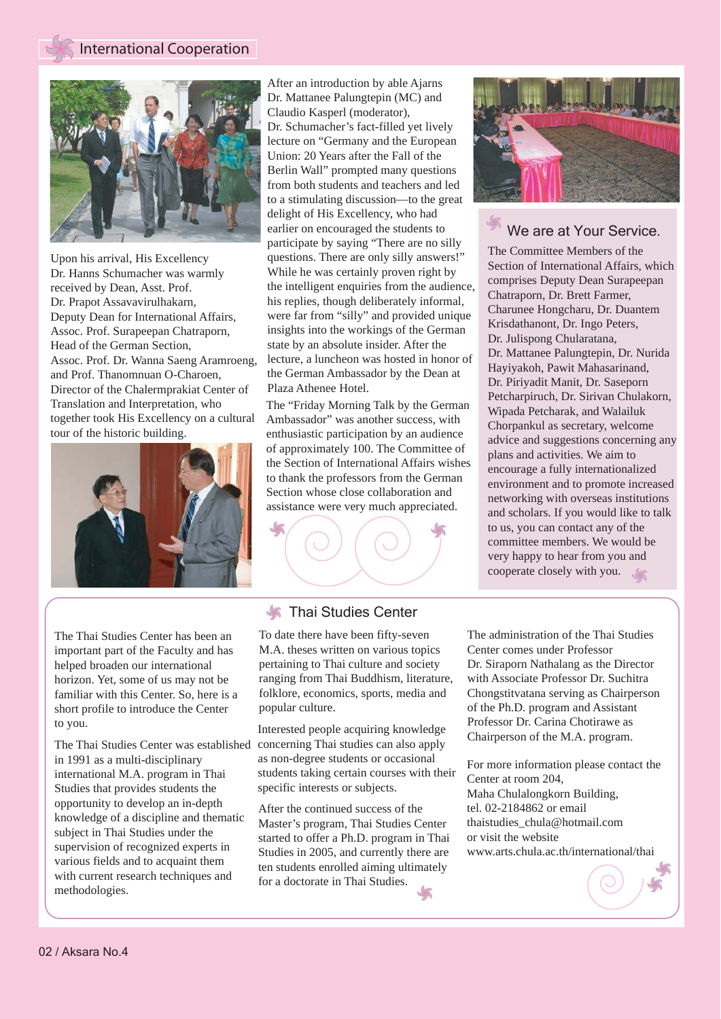

Upon his arrival, His Excellency Dr. Hanns Schumacher was warmly received by Dean, Asst. Prof. Dr. Prapot Assavavirulhakarn, Deputy Dean for International Affairs, Assoc. Prof. Surapeepan Chatraporn, Head of the German Section, Assoc. Prof. Dr. Wanna Saeng Aramroeng, and Prof. Thanomnuan O-Charoen, Director of the Chalermprakiat Center of Translation and Interpretation, who together took His Excellency on a cultural tour of the historic building.



After an introduction by able Ajarns Dr. Mattanee Palungtepin (MC) and Claudio Kasperl (moderator), Dr. Schumacher's fact-filled yet lively lecture on "Germany and the European Union: 20 Years after the Fall of the Berlin Wall" prompted many questions from both students and teachers and led to a stimulating discussion—to the great delight of His Excellency, who had earlier on encouraged the students to participate by saying "There are no silly questions. There are only silly answers!" While he was certainly proven right by the intelligent enquiries from the audience, his replies, though deliberately informal, were far from "silly" and provided unique insights into the workings of the German state by an absolute insider. After the lecture, a luncheon was hosted in honor of the German Ambassador by the Dean at Plaza Athenee Hotel.

The "Friday Morning Talk by the German Ambassador" was another success, with enthusiastic participation by an audience of approximately 100. The Committee of the Section of International Affairs wishes to thank the professors from the German Section whose close collaboration and assistance were very much appreciated.



#### We are at Your Service.

The Committee Members of the Section of International Affairs, which comprises Deputy Dean Surapeepan Chatraporn, Dr. Brett Farmer, Charunee Hongcharu, Dr. Duantem Krisdathanont, Dr. Ingo Peters, Dr. Julispong Chularatana, Dr. Mattanee Palungtepin, Dr. Nurida Hayiyakoh, Pawit Mahasarinand, Dr. Piriyadit Manit, Dr. Saseporn Petcharpiruch, Dr. Sirivan Chulakorn, Wipada Petcharak, and Walailuk Chorpankul as secretary, welcome advice and suggestions concerning any plans and activities. We aim to encourage a fully internationalized environment and to promote increased networking with overseas institutions and scholars. If you would like to talk to us, you can contact any of the committee members. We would be very happy to hear from you and cooperate closely with you.

The Thai Studies Center has been an important part of the Faculty and has helped broaden our international horizon. Yet, some of us may not be familiar with this Center. So, here is a short profile to introduce the Center to you.

The Thai Studies Center was established in 1991 as a multi-disciplinary international M.A. program in Thai Studies that provides students the opportunity to develop an in-depth knowledge of a discipline and thematic subject in Thai Studies under the supervision of recognized experts in various fields and to acquaint them with current research techniques and methodologies.

#### **K** Thai Studies Center

To date there have been fifty-seven M.A. theses written on various topics pertaining to Thai culture and society ranging from Thai Buddhism, literature, folklore, economics, sports, media and popular culture.

Interested people acquiring knowledge concerning Thai studies can also apply as non-degree students or occasional students taking certain courses with their specific interests or subjects.

After the continued success of the Master's program, Thai Studies Center started to offer a Ph.D. program in Thai Studies in 2005, and currently there are ten students enrolled aiming ultimately for a doctorate in Thai Studies.

The administration of the Thai Studies Center comes under Professor Dr. Siraporn Nathalang as the Director with Associate Professor Dr. Suchitra Chongstitvatana serving as Chairperson of the Ph.D. program and Assistant Professor Dr. Carina Chotirawe as Chairperson of the M.A. program.

For more information please contact the Center at room 204, Maha Chulalongkorn Building, tel. 02-2184862 or email thaistudies\_chula@hotmail.com or visit the website www.arts.chula.ac.th/international/thai